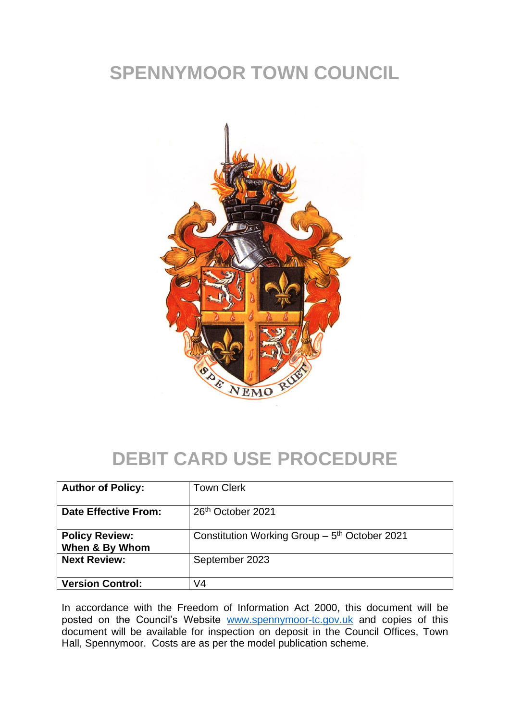## **SPENNYMOOR TOWN COUNCIL**



## **DEBIT CARD USE PROCEDURE**

| <b>Author of Policy:</b>                | <b>Town Clerk</b>                                         |
|-----------------------------------------|-----------------------------------------------------------|
| <b>Date Effective From:</b>             | 26 <sup>th</sup> October 2021                             |
| <b>Policy Review:</b><br>When & By Whom | Constitution Working Group - 5 <sup>th</sup> October 2021 |
| <b>Next Review:</b>                     | September 2023                                            |
| <b>Version Control:</b>                 | V4                                                        |

In accordance with the Freedom of Information Act 2000, this document will be posted on the Council's Website [www.spennymoor-tc.gov.uk](http://www.spennymoor-tc.gov.uk/) and copies of this document will be available for inspection on deposit in the Council Offices, Town Hall, Spennymoor. Costs are as per the model publication scheme.